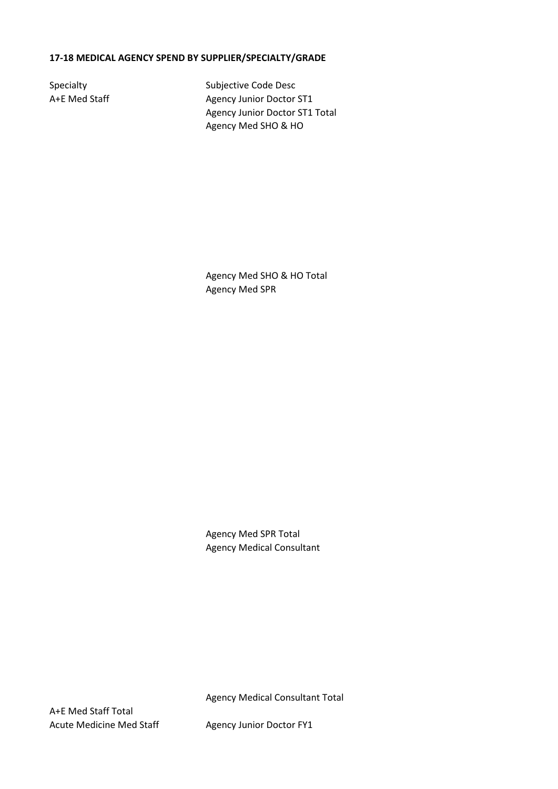## **17-18 MEDICAL AGENCY SPEND BY SUPPLIER/SPECIALTY/GRADE**

Specialty Subjective Code Desc A+E Med Staff Agency Junior Doctor ST1 Agency Junior Doctor ST1 Total Agency Med SHO & HO

> Agency Med SHO & HO Total Agency Med SPR

Agency Med SPR Total Agency Medical Consultant

Agency Medical Consultant Total

A+E Med Staff Total Acute Medicine Med Staff Agency Junior Doctor FY1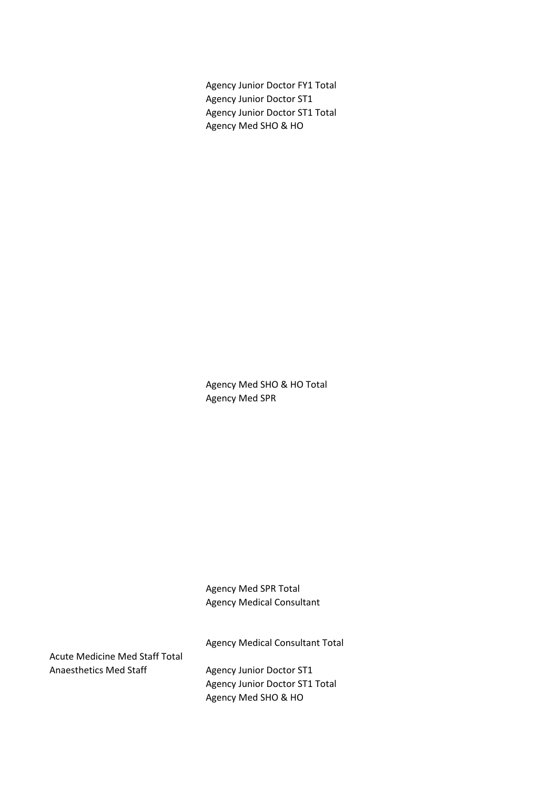Agency Junior Doctor FY1 Total Agency Junior Doctor ST1 Agency Junior Doctor ST1 Total Agency Med SHO & HO

Agency Med SHO & HO Total Agency Med SPR

Agency Med SPR Total Agency Medical Consultant

Agency Medical Consultant Total

Acute Medicine Med Staff Total Anaesthetics Med Staff Agency Junior Doctor ST1

Agency Junior Doctor ST1 Total Agency Med SHO & HO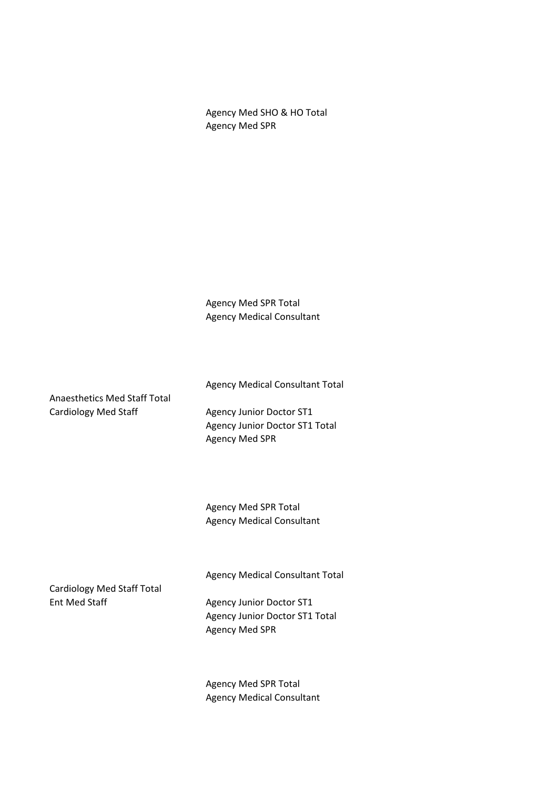Agency Med SHO & HO Total Agency Med SPR

Agency Med SPR Total Agency Medical Consultant

Anaesthetics Med Staff Total Cardiology Med Staff Agency Junior Doctor ST1

Agency Junior Doctor ST1 Total Agency Med SPR

Agency Medical Consultant Total

Agency Med SPR Total Agency Medical Consultant

Cardiology Med Staff Total Ent Med Staff Agency Junior Doctor ST1

Agency Medical Consultant Total

Agency Junior Doctor ST1 Total Agency Med SPR

Agency Med SPR Total Agency Medical Consultant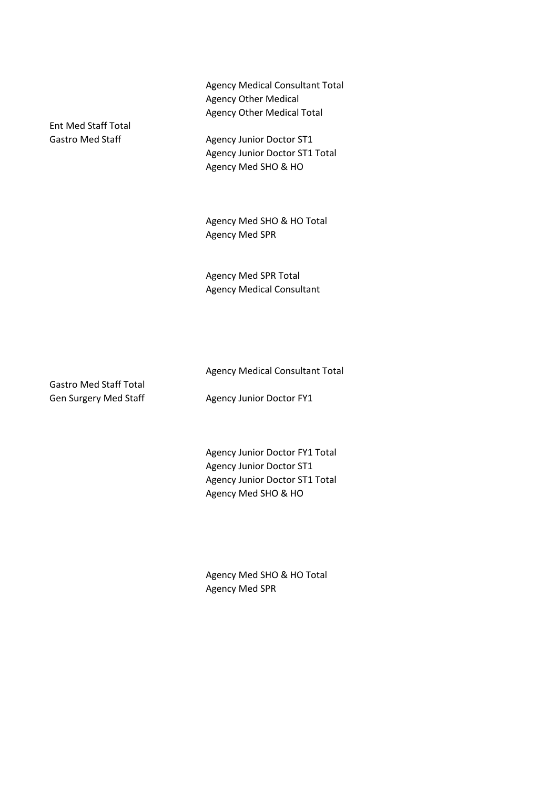Agency Medical Consultant Total Agency Other Medical Agency Other Medical Total

Gastro Med Staff Agency Junior Doctor ST1 Agency Junior Doctor ST1 Total Agency Med SHO & HO

> Agency Med SHO & HO Total Agency Med SPR

Agency Med SPR Total Agency Medical Consultant

Gastro Med Staff Total

Ent Med Staff Total

Agency Medical Consultant Total

Gen Surgery Med Staff Agency Junior Doctor FY1

Agency Junior Doctor FY1 Total Agency Junior Doctor ST1 Agency Junior Doctor ST1 Total Agency Med SHO & HO

Agency Med SHO & HO Total Agency Med SPR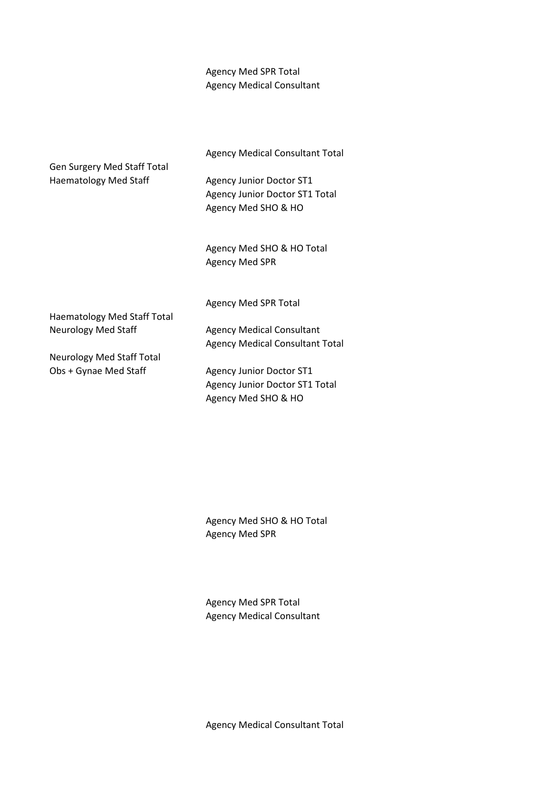## Agency Med SPR Total Agency Medical Consultant

Agency Medical Consultant Total Gen Surgery Med Staff Total Haematology Med Staff Agency Junior Doctor ST1 Agency Junior Doctor ST1 Total Agency Med SHO & HO Agency Med SHO & HO Total Agency Med SPR Agency Med SPR Total Haematology Med Staff Total Neurology Med Staff Agency Medical Consultant

Neurology Med Staff Total

Agency Medical Consultant Total

Obs + Gynae Med Staff Agency Junior Doctor ST1 Agency Junior Doctor ST1 Total Agency Med SHO & HO

> Agency Med SHO & HO Total Agency Med SPR

Agency Med SPR Total Agency Medical Consultant

Agency Medical Consultant Total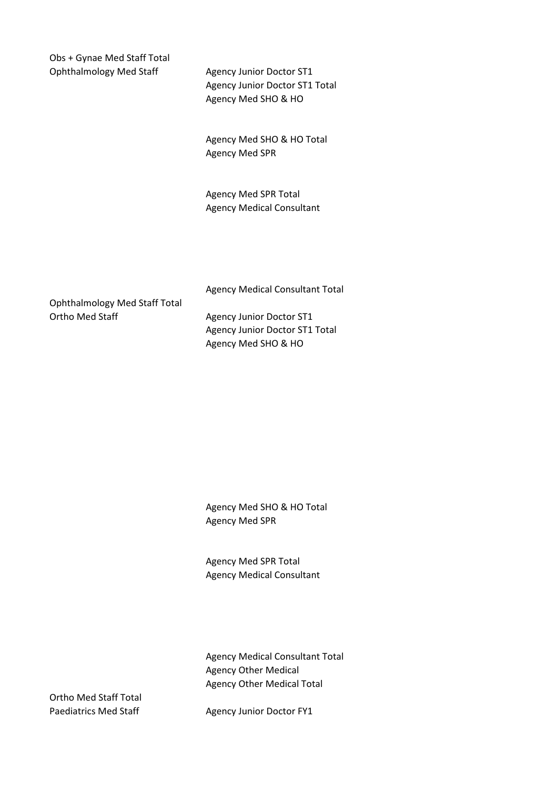Obs + Gynae Med Staff Total Ophthalmology Med Staff Agency Junior Doctor ST1

Agency Junior Doctor ST1 Total Agency Med SHO & HO

Agency Med SHO & HO Total Agency Med SPR

Agency Med SPR Total Agency Medical Consultant

Agency Medical Consultant Total

Ophthalmology Med Staff Total Ortho Med Staff Agency Junior Doctor ST1

Agency Junior Doctor ST1 Total Agency Med SHO & HO

Agency Med SHO & HO Total Agency Med SPR

Agency Med SPR Total Agency Medical Consultant

Agency Medical Consultant Total Agency Other Medical Agency Other Medical Total

Ortho Med Staff Total

Paediatrics Med Staff Agency Junior Doctor FY1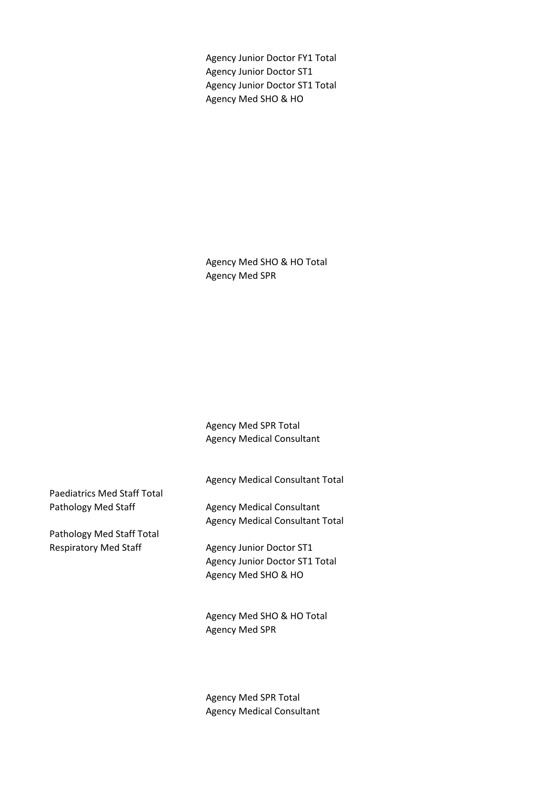Agency Junior Doctor FY1 Total Agency Junior Doctor ST1 Agency Junior Doctor ST1 Total Agency Med SHO & HO

Agency Med SHO & HO Total Agency Med SPR

Agency Med SPR Total Agency Medical Consultant

Agency Medical Consultant Total

Paediatrics Med Staff Total Pathology Med Staff Agency Medical Consultant

Pathology Med Staff Total Respiratory Med Staff Agency Junior Doctor ST1

Agency Medical Consultant Total

Agency Junior Doctor ST1 Total Agency Med SHO & HO

Agency Med SHO & HO Total Agency Med SPR

Agency Med SPR Total Agency Medical Consultant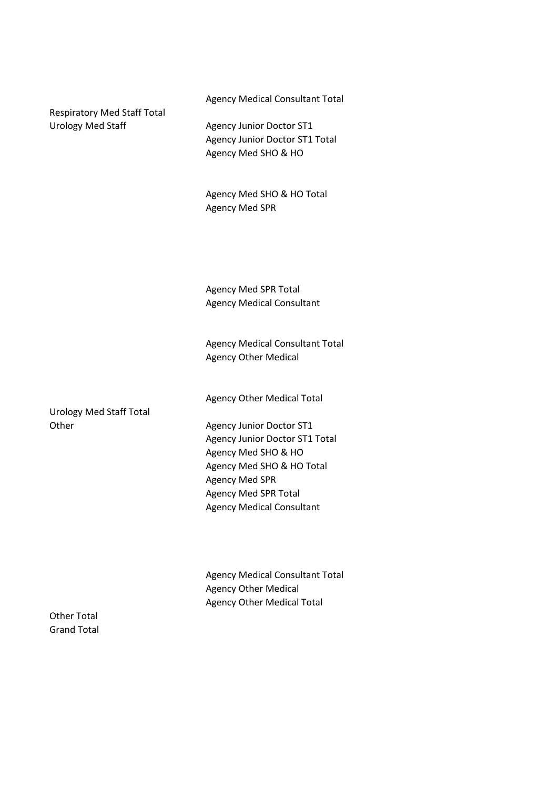Agency Medical Consultant Total

Respiratory Med Staff Total Urology Med Staff Agency Junior Doctor ST1

Agency Junior Doctor ST1 Total Agency Med SHO & HO

Agency Med SHO & HO Total Agency Med SPR

Agency Med SPR Total Agency Medical Consultant

Agency Medical Consultant Total Agency Other Medical

Agency Other Medical Total

Urology Med Staff Total

Other Agency Junior Doctor ST1 Agency Junior Doctor ST1 Total Agency Med SHO & HO Agency Med SHO & HO Total Agency Med SPR Agency Med SPR Total Agency Medical Consultant

> Agency Medical Consultant Total Agency Other Medical Agency Other Medical Total

Other Total Grand Total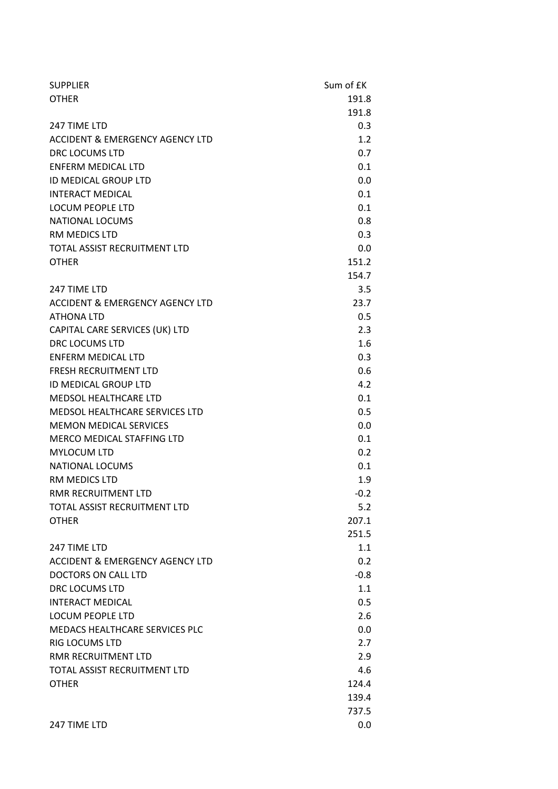| <b>SUPPLIER</b>                            | Sum of £K |
|--------------------------------------------|-----------|
| <b>OTHER</b>                               | 191.8     |
|                                            | 191.8     |
| 247 TIME LTD                               | 0.3       |
| <b>ACCIDENT &amp; EMERGENCY AGENCY LTD</b> | 1.2       |
| DRC LOCUMS LTD                             | 0.7       |
| <b>ENFERM MEDICAL LTD</b>                  | 0.1       |
| <b>ID MEDICAL GROUP LTD</b>                | 0.0       |
| <b>INTERACT MEDICAL</b>                    | 0.1       |
| <b>LOCUM PEOPLE LTD</b>                    | 0.1       |
| <b>NATIONAL LOCUMS</b>                     | 0.8       |
| RM MEDICS LTD                              | 0.3       |
| TOTAL ASSIST RECRUITMENT LTD               | 0.0       |
| <b>OTHER</b>                               | 151.2     |
|                                            | 154.7     |
| 247 TIME LTD                               | 3.5       |
| <b>ACCIDENT &amp; EMERGENCY AGENCY LTD</b> | 23.7      |
| <b>ATHONA LTD</b>                          | 0.5       |
| CAPITAL CARE SERVICES (UK) LTD             | 2.3       |
| DRC LOCUMS LTD                             | 1.6       |
| <b>ENFERM MEDICAL LTD</b>                  | 0.3       |
| <b>FRESH RECRUITMENT LTD</b>               | 0.6       |
| <b>ID MEDICAL GROUP LTD</b>                | 4.2       |
| <b>MEDSOL HEALTHCARE LTD</b>               | 0.1       |
| MEDSOL HEALTHCARE SERVICES LTD             | 0.5       |
| <b>MEMON MEDICAL SERVICES</b>              | 0.0       |
| MERCO MEDICAL STAFFING LTD                 | 0.1       |
| MYLOCUM LTD                                | 0.2       |
| <b>NATIONAL LOCUMS</b>                     | 0.1       |
| RM MEDICS LTD                              | 1.9       |
| RMR RECRUITMENT LTD                        | $-0.2$    |
| TOTAL ASSIST RECRUITMENT LTD               | 5.2       |
| <b>OTHER</b>                               | 207.1     |
|                                            | 251.5     |
| 247 TIME LTD                               | 1.1       |
| <b>ACCIDENT &amp; EMERGENCY AGENCY LTD</b> | 0.2       |
| DOCTORS ON CALL LTD                        | $-0.8$    |
| DRC LOCUMS LTD                             | 1.1       |
| <b>INTERACT MEDICAL</b>                    | 0.5       |
| <b>LOCUM PEOPLE LTD</b>                    | 2.6       |
| <b>MEDACS HEALTHCARE SERVICES PLC</b>      | 0.0       |
| <b>RIG LOCUMS LTD</b>                      | 2.7       |
| RMR RECRUITMENT LTD                        | 2.9       |
| TOTAL ASSIST RECRUITMENT LTD               | 4.6       |
| <b>OTHER</b>                               | 124.4     |
|                                            | 139.4     |
|                                            | 737.5     |
| 247 TIME LTD                               | 0.0       |
|                                            |           |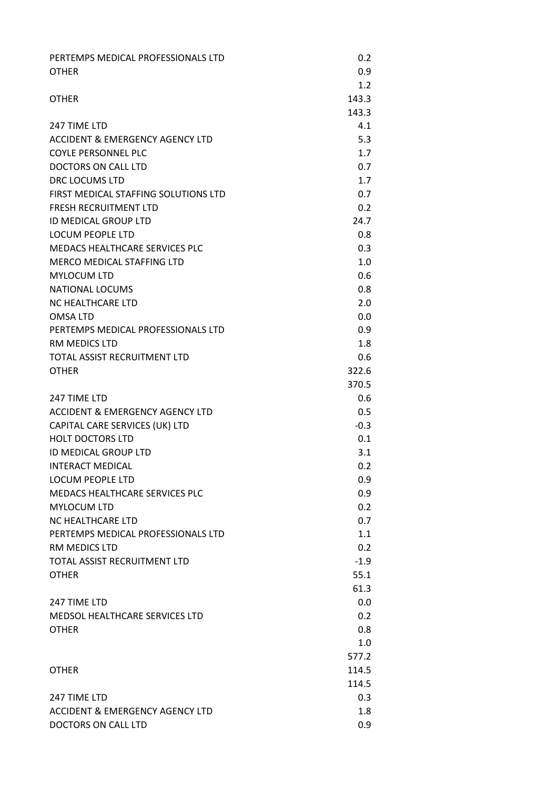| PERTEMPS MEDICAL PROFESSIONALS LTD                 | 0.2        |
|----------------------------------------------------|------------|
| <b>OTHER</b>                                       | 0.9        |
|                                                    | 1.2        |
| <b>OTHER</b>                                       | 143.3      |
|                                                    | 143.3      |
| 247 TIME LTD                                       | 4.1        |
| ACCIDENT & EMERGENCY AGENCY LTD                    | 5.3        |
| <b>COYLE PERSONNEL PLC</b>                         | 1.7        |
| DOCTORS ON CALL LTD                                | 0.7        |
| DRC LOCUMS LTD                                     | 1.7        |
| FIRST MEDICAL STAFFING SOLUTIONS LTD               | 0.7        |
| <b>FRESH RECRUITMENT LTD</b>                       | 0.2        |
| <b>ID MEDICAL GROUP LTD</b>                        | 24.7       |
| <b>LOCUM PEOPLE LTD</b>                            | 0.8        |
| MEDACS HEALTHCARE SERVICES PLC                     | 0.3        |
| MERCO MEDICAL STAFFING LTD<br><b>MYLOCUM LTD</b>   | 1.0<br>0.6 |
|                                                    | 0.8        |
| <b>NATIONAL LOCUMS</b><br><b>NC HEALTHCARE LTD</b> | 2.0        |
| <b>OMSALTD</b>                                     | 0.0        |
| PERTEMPS MEDICAL PROFESSIONALS LTD                 | 0.9        |
| <b>RM MEDICS LTD</b>                               | 1.8        |
| TOTAL ASSIST RECRUITMENT LTD                       | 0.6        |
| <b>OTHER</b>                                       | 322.6      |
|                                                    | 370.5      |
| 247 TIME LTD                                       | 0.6        |
| <b>ACCIDENT &amp; EMERGENCY AGENCY LTD</b>         | 0.5        |
| CAPITAL CARE SERVICES (UK) LTD                     | $-0.3$     |
| <b>HOLT DOCTORS LTD</b>                            | 0.1        |
| ID MEDICAL GROUP LTD                               | 3.1        |
| <b>INTERACT MEDICAL</b>                            | 0.2        |
| <b>LOCUM PEOPLE LTD</b>                            | 0.9        |
| <b>MEDACS HEALTHCARE SERVICES PLC</b>              | 0.9        |
| <b>MYLOCUM LTD</b>                                 | 0.2        |
| <b>NC HEALTHCARE LTD</b>                           | 0.7        |
| PERTEMPS MEDICAL PROFESSIONALS LTD                 | 1.1        |
| RM MEDICS LTD                                      | 0.2        |
| TOTAL ASSIST RECRUITMENT LTD                       | $-1.9$     |
| <b>OTHER</b>                                       | 55.1       |
|                                                    | 61.3       |
| 247 TIME LTD                                       | 0.0        |
| MEDSOL HEALTHCARE SERVICES LTD                     | 0.2        |
| <b>OTHER</b>                                       | 0.8        |
|                                                    | 1.0        |
|                                                    | 577.2      |
| <b>OTHER</b>                                       | 114.5      |
|                                                    | 114.5      |
| 247 TIME LTD                                       | 0.3        |
| ACCIDENT & EMERGENCY AGENCY LTD                    | 1.8        |
| DOCTORS ON CALL LTD                                | 0.9        |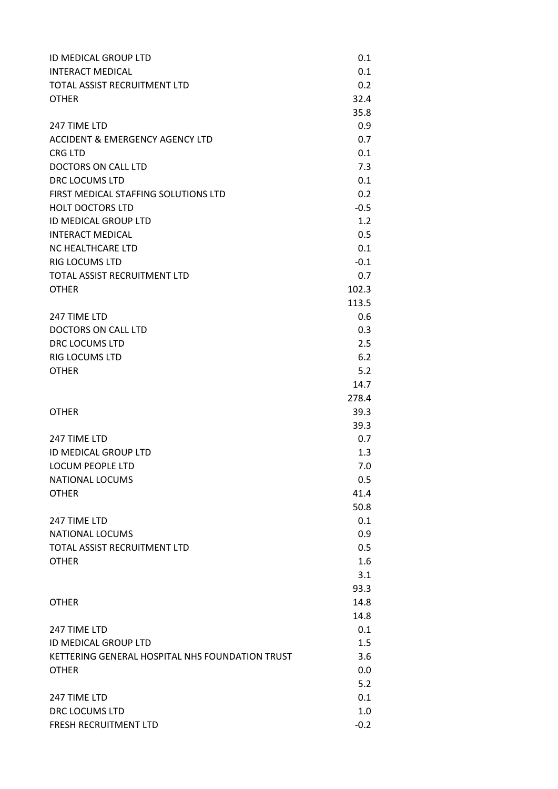| ID MEDICAL GROUP LTD                            | 0.1    |
|-------------------------------------------------|--------|
| INTERACT MEDICAL                                | 0.1    |
| TOTAL ASSIST RECRUITMENT LTD                    | 0.2    |
| <b>OTHER</b>                                    | 32.4   |
|                                                 | 35.8   |
| 247 TIME LTD                                    | 0.9    |
| ACCIDENT & EMERGENCY AGENCY LTD                 | 0.7    |
| CRG LTD                                         | 0.1    |
| <b>DOCTORS ON CALL LTD</b>                      | 7.3    |
| <b>DRC LOCUMS LTD</b>                           | 0.1    |
| FIRST MEDICAL STAFFING SOLUTIONS LTD            | 0.2    |
| <b>HOLT DOCTORS LTD</b>                         | $-0.5$ |
| ID MEDICAL GROUP LTD                            | 1.2    |
| <b>INTERACT MEDICAL</b>                         | 0.5    |
| <b>NC HEALTHCARE LTD</b>                        | 0.1    |
| RIG LOCUMS LTD                                  | $-0.1$ |
| TOTAL ASSIST RECRUITMENT LTD                    | 0.7    |
| OTHER                                           | 102.3  |
|                                                 | 113.5  |
| 247 TIME LTD                                    | 0.6    |
| DOCTORS ON CALL LTD                             | 0.3    |
| <b>DRC LOCUMS LTD</b>                           | 2.5    |
| RIG LOCUMS LTD                                  | 6.2    |
| OTHER                                           | 5.2    |
|                                                 | 14.7   |
|                                                 | 278.4  |
| <b>OTHER</b>                                    | 39.3   |
|                                                 | 39.3   |
| 247 TIME LTD                                    | 0.7    |
| ID MEDICAL GROUP LTD                            | 1.3    |
| LOCUM PEOPLE LTD                                | 7.0    |
| <b>NATIONAL LOCUMS</b>                          | 0.5    |
| <b>OTHER</b>                                    | 41.4   |
|                                                 | 50.8   |
| 247 TIME LTD                                    | 0.1    |
| <b>NATIONAL LOCUMS</b>                          | 0.9    |
| TOTAL ASSIST RECRUITMENT LTD                    | 0.5    |
| OTHER                                           | 1.6    |
|                                                 | 3.1    |
|                                                 | 93.3   |
| OTHER                                           | 14.8   |
|                                                 | 14.8   |
| 247 TIME LTD                                    | 0.1    |
| ID MEDICAL GROUP LTD                            | 1.5    |
| KETTERING GENERAL HOSPITAL NHS FOUNDATION TRUST | 3.6    |
| OTHER                                           | 0.0    |
|                                                 | 5.2    |
| 247 TIME LTD                                    | 0.1    |
| DRC LOCUMS LTD                                  | 1.0    |
| <b>FRESH RECRUITMENT LTD</b>                    | $-0.2$ |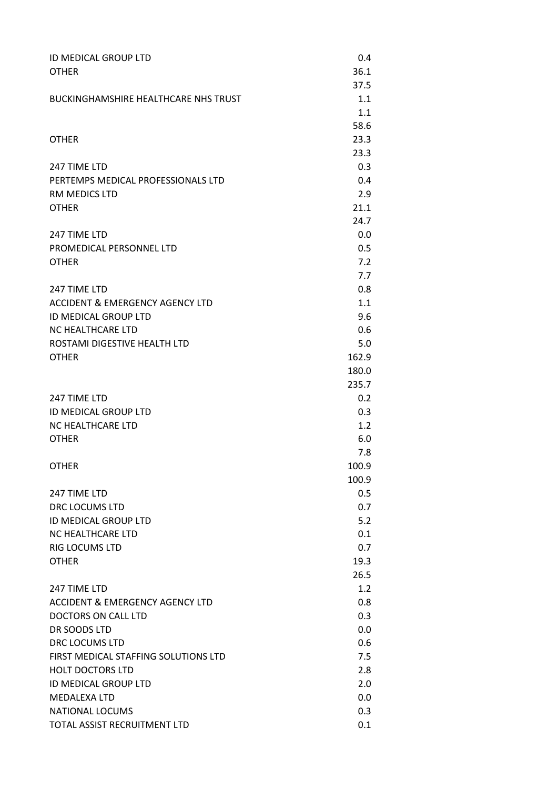| ID MEDICAL GROUP LTD                        | 0.4            |
|---------------------------------------------|----------------|
| <b>OTHER</b>                                | 36.1           |
|                                             | 37.5           |
| <b>BUCKINGHAMSHIRE HEALTHCARE NHS TRUST</b> | 1.1            |
|                                             | 1.1            |
|                                             | 58.6           |
| <b>OTHER</b>                                | 23.3           |
|                                             | 23.3           |
| 247 TIME LTD                                | 0.3            |
| PERTEMPS MEDICAL PROFESSIONALS LTD          | 0.4            |
| RM MEDICS LTD                               | 2.9            |
| <b>OTHER</b>                                | 21.1           |
|                                             | 24.7           |
| 247 TIME LTD                                | 0.0            |
| PROMEDICAL PERSONNEL LTD                    | 0.5            |
| <b>OTHER</b>                                | 7.2            |
|                                             | 7.7            |
| 247 TIME LTD                                | 0.8            |
| ACCIDENT & EMERGENCY AGENCY LTD             | 1.1            |
| ID MEDICAL GROUP LTD                        | 9.6            |
| NC HEALTHCARE LTD                           | 0.6            |
| ROSTAMI DIGESTIVE HEALTH LTD                | 5.0            |
| <b>OTHER</b>                                | 162.9<br>180.0 |
|                                             | 235.7          |
| 247 TIME LTD                                | 0.2            |
| ID MEDICAL GROUP LTD                        | 0.3            |
| NC HEALTHCARE LTD                           | 1.2            |
| <b>OTHER</b>                                | 6.0            |
|                                             | 7.8            |
| <b>OTHER</b>                                | 100.9          |
|                                             | 100.9          |
| 247 TIME LTD                                | 0.5            |
| <b>DRC LOCUMS LTD</b>                       | 0.7            |
| <b>ID MEDICAL GROUP LTD</b>                 | 5.2            |
| NC HEALTHCARE LTD                           | 0.1            |
| <b>RIG LOCUMS LTD</b>                       | 0.7            |
| <b>OTHER</b>                                | 19.3           |
|                                             | 26.5           |
| 247 TIME LTD                                | 1.2            |
| <b>ACCIDENT &amp; EMERGENCY AGENCY LTD</b>  | 0.8            |
| DOCTORS ON CALL LTD                         | 0.3            |
| DR SOODS LTD                                | 0.0            |
| DRC LOCUMS LTD                              | 0.6            |
| FIRST MEDICAL STAFFING SOLUTIONS LTD        | 7.5            |
| <b>HOLT DOCTORS LTD</b>                     | 2.8            |
| ID MEDICAL GROUP LTD                        | 2.0            |
| <b>MEDALEXA LTD</b>                         | 0.0            |
| <b>NATIONAL LOCUMS</b>                      | 0.3            |
| TOTAL ASSIST RECRUITMENT LTD                | 0.1            |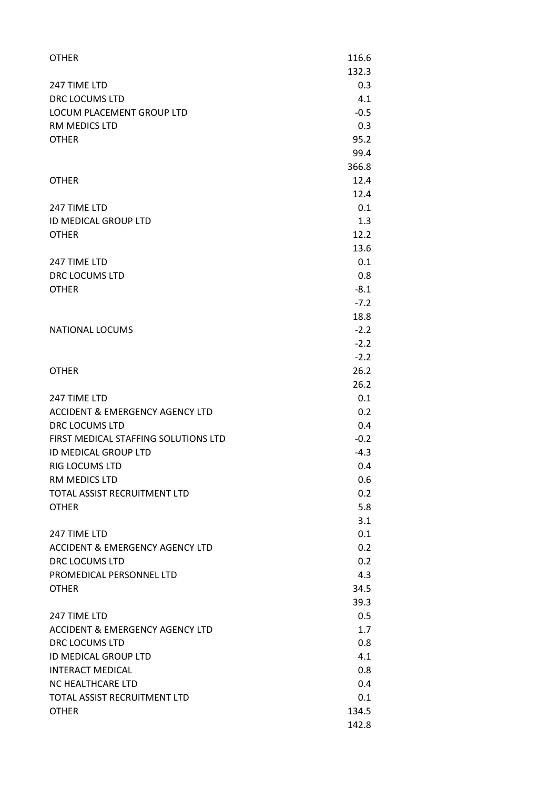| <b>OTHER</b>                               | 116.6         |
|--------------------------------------------|---------------|
|                                            | 132.3         |
| 247 TIME LTD                               | 0.3           |
| <b>DRC LOCUMS LTD</b>                      | 4.1           |
| LOCUM PLACEMENT GROUP LTD<br>RM MEDICS LTD | $-0.5$<br>0.3 |
| <b>OTHER</b>                               | 95.2          |
|                                            | 99.4          |
|                                            | 366.8         |
| OTHER                                      | 12.4          |
|                                            | 12.4          |
| 247 TIME LTD                               | 0.1           |
| ID MEDICAL GROUP LTD                       | 1.3           |
| OTHER                                      | 12.2          |
|                                            | 13.6          |
| 247 TIME LTD                               | 0.1           |
| <b>DRC LOCUMS LTD</b>                      | 0.8           |
| OTHER                                      | $-8.1$        |
|                                            | $-7.2$        |
|                                            | 18.8          |
| <b>NATIONAL LOCUMS</b>                     | $-2.2$        |
|                                            | $-2.2$        |
|                                            | $-2.2$        |
| <b>OTHER</b>                               | 26.2          |
|                                            | 26.2          |
| 247 TIME LTD                               | 0.1           |
| ACCIDENT & EMERGENCY AGENCY LTD            | 0.2           |
| <b>DRC LOCUMS LTD</b>                      | 0.4           |
| FIRST MEDICAL STAFFING SOLUTIONS LTD       | $-0.2$        |
| ID MEDICAL GROUP LTD                       | $-4.3$        |
| RIG LOCUMS LTD                             | 0.4           |
| RM MEDICS LTD                              | 0.6           |
| TOTAL ASSIST RECRUITMENT LTD               | 0.2           |
| OTHER                                      | 5.8           |
|                                            | 3.1           |
| 247 TIME LTD                               | 0.1           |
| ACCIDENT & EMERGENCY AGENCY LTD            | 0.2           |
| <b>DRC LOCUMS LTD</b>                      | 0.2           |
| PROMEDICAL PERSONNEL LTD                   | 4.3           |
| OTHER                                      | 34.5          |
|                                            | 39.3          |
| 247 TIME LTD                               | 0.5           |
| ACCIDENT & EMERGENCY AGENCY LTD            | 1.7           |
| DRC LOCUMS LTD                             | 0.8           |
| ID MEDICAL GROUP LTD                       | 4.1           |
| <b>INTERACT MEDICAL</b>                    | 0.8           |
| NC HEALTHCARE LTD                          | 0.4           |
| TOTAL ASSIST RECRUITMENT LTD               | 0.1           |
| OTHER                                      | 134.5         |
|                                            | 142.8         |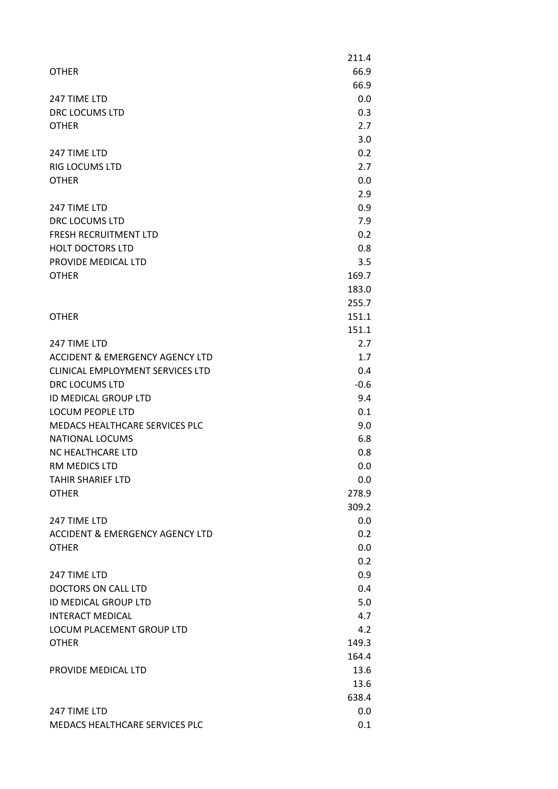|                                  | 211.4          |
|----------------------------------|----------------|
| <b>OTHER</b>                     | 66.9           |
|                                  | 66.9           |
| 247 TIME LTD                     | 0.0            |
| DRC LOCUMS LTD                   | 0.3            |
| <b>OTHER</b>                     | 2.7            |
|                                  | 3.0            |
| 247 TIME LTD                     | 0.2            |
| <b>RIG LOCUMS LTD</b>            | 2.7            |
| <b>OTHER</b>                     | 0.0            |
|                                  | 2.9            |
| 247 TIME LTD                     | 0.9            |
| DRC LOCUMS LTD                   | 7.9            |
| <b>FRESH RECRUITMENT LTD</b>     | 0.2            |
| <b>HOLT DOCTORS LTD</b>          | 0.8            |
| PROVIDE MEDICAL LTD              | 3.5            |
| <b>OTHER</b>                     | 169.7          |
|                                  | 183.0          |
|                                  |                |
| <b>OTHER</b>                     | 255.7<br>151.1 |
|                                  | 151.1          |
|                                  |                |
| 247 TIME LTD                     | 2.7            |
| ACCIDENT & EMERGENCY AGENCY LTD  | 1.7            |
| CLINICAL EMPLOYMENT SERVICES LTD | 0.4            |
| DRC LOCUMS LTD                   | $-0.6$         |
| ID MEDICAL GROUP LTD             | 9.4            |
| <b>LOCUM PEOPLE LTD</b>          | 0.1            |
| MEDACS HEALTHCARE SERVICES PLC   | 9.0            |
| NATIONAL LOCUMS                  | 6.8            |
| NC HEALTHCARE LTD                | 0.8            |
| RM MEDICS LTD                    | 0.0            |
| <b>TAHIR SHARIEF LTD</b>         | 0.0            |
| <b>OTHER</b>                     | 278.9          |
|                                  | 309.2          |
| 247 TIME LTD                     | 0.0            |
| ACCIDENT & EMERGENCY AGENCY LTD  | 0.2            |
| <b>OTHER</b>                     | 0.0            |
|                                  | 0.2            |
| 247 TIME LTD                     | 0.9            |
| <b>DOCTORS ON CALL LTD</b>       | 0.4            |
| ID MEDICAL GROUP LTD             | 5.0            |
| <b>INTERACT MEDICAL</b>          | 4.7            |
| LOCUM PLACEMENT GROUP LTD        | 4.2            |
| <b>OTHER</b>                     | 149.3          |
|                                  | 164.4          |
| PROVIDE MEDICAL LTD              | 13.6           |
|                                  | 13.6           |
|                                  | 638.4          |
| 247 TIME LTD                     | 0.0            |
| MEDACS HEALTHCARE SERVICES PLC   | 0.1            |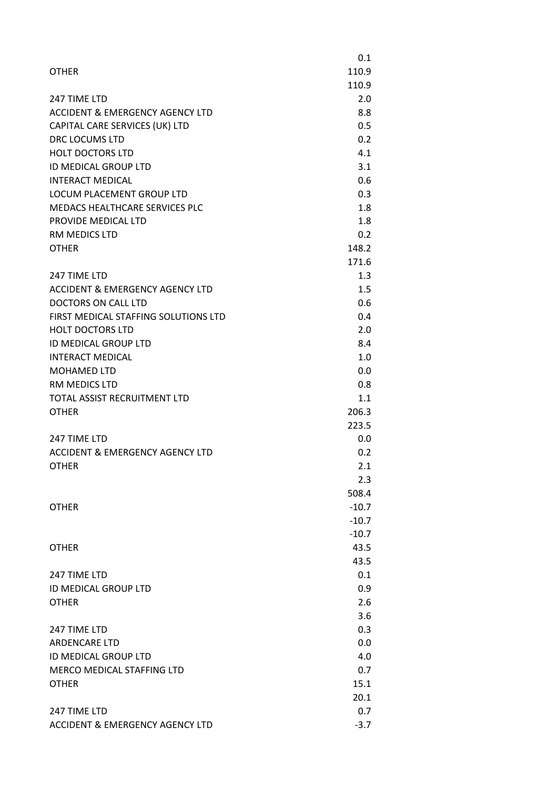|                                            | 0.1     |
|--------------------------------------------|---------|
| <b>OTHER</b>                               | 110.9   |
|                                            | 110.9   |
| 247 TIME LTD                               | 2.0     |
| <b>ACCIDENT &amp; EMERGENCY AGENCY LTD</b> | 8.8     |
| CAPITAL CARE SERVICES (UK) LTD             | 0.5     |
| DRC LOCUMS LTD                             | 0.2     |
| <b>HOLT DOCTORS LTD</b>                    | 4.1     |
| ID MEDICAL GROUP LTD                       | 3.1     |
| <b>INTERACT MEDICAL</b>                    | 0.6     |
| LOCUM PLACEMENT GROUP LTD                  | 0.3     |
| MEDACS HEALTHCARE SERVICES PLC             | 1.8     |
| PROVIDE MEDICAL LTD                        | 1.8     |
| RM MEDICS LTD                              | 0.2     |
| <b>OTHER</b>                               | 148.2   |
|                                            | 171.6   |
| 247 TIME LTD                               | 1.3     |
| <b>ACCIDENT &amp; EMERGENCY AGENCY LTD</b> | 1.5     |
| <b>DOCTORS ON CALL LTD</b>                 | 0.6     |
| FIRST MEDICAL STAFFING SOLUTIONS LTD       | 0.4     |
| <b>HOLT DOCTORS LTD</b>                    | 2.0     |
| ID MEDICAL GROUP LTD                       | 8.4     |
| <b>INTERACT MEDICAL</b>                    | 1.0     |
| <b>MOHAMED LTD</b>                         | 0.0     |
| RM MEDICS LTD                              | 0.8     |
| <b>TOTAL ASSIST RECRUITMENT LTD</b>        | 1.1     |
| <b>OTHER</b>                               | 206.3   |
|                                            | 223.5   |
| 247 TIME LTD                               | 0.0     |
| <b>ACCIDENT &amp; EMERGENCY AGENCY LTD</b> | 0.2     |
| <b>OTHER</b>                               | 2.1     |
|                                            | 2.3     |
|                                            | 508.4   |
| <b>OTHER</b>                               | $-10.7$ |
|                                            | $-10.7$ |
|                                            | $-10.7$ |
| <b>OTHER</b>                               | 43.5    |
|                                            | 43.5    |
| 247 TIME LTD                               | 0.1     |
| ID MEDICAL GROUP LTD                       | 0.9     |
| <b>OTHER</b>                               | 2.6     |
|                                            | 3.6     |
| 247 TIME LTD                               | 0.3     |
| <b>ARDENCARE LTD</b>                       | 0.0     |
| ID MEDICAL GROUP LTD                       | 4.0     |
| MERCO MEDICAL STAFFING LTD                 | 0.7     |
| <b>OTHER</b>                               | 15.1    |
|                                            | 20.1    |
| 247 TIME LTD                               | 0.7     |
| ACCIDENT & EMERGENCY AGENCY LTD            | $-3.7$  |